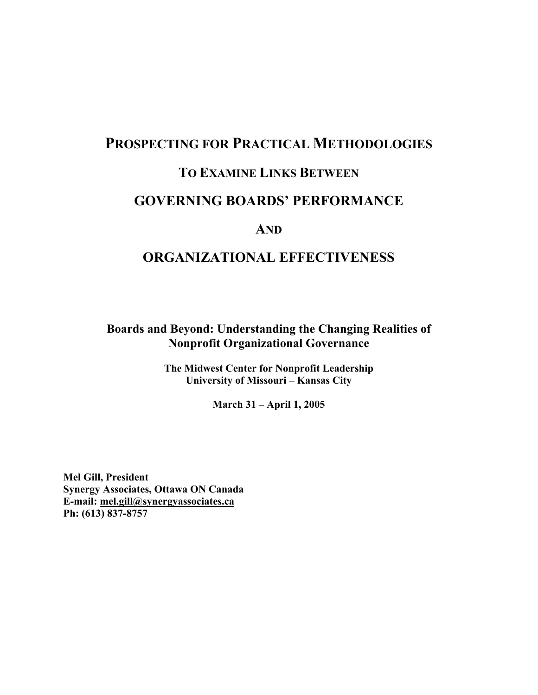# **PROSPECTING FOR PRACTICAL METHODOLOGIES TO EXAMINE LINKS BETWEEN**

## **GOVERNING BOARDS' PERFORMANCE**

## **AND**

# **ORGANIZATIONAL EFFECTIVENESS**

**Boards and Beyond: Understanding the Changing Realities of Nonprofit Organizational Governance**

> **The Midwest Center for Nonprofit Leadership University of Missouri – Kansas City**

> > **March 31 – April 1, 2005**

**Mel Gill, President Synergy Associates, Ottawa ON Canada E-mail: mel.gill@synergyassociates.ca Ph: (613) 837-8757**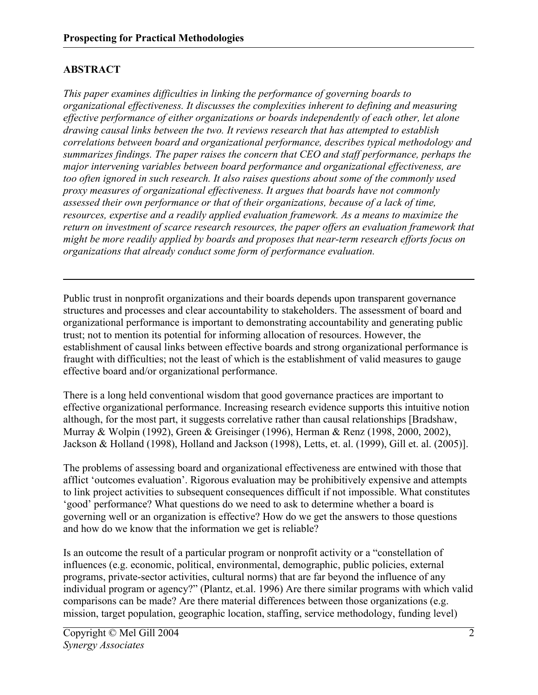## **ABSTRACT**

*This paper examines difficulties in linking the performance of governing boards to organizational effectiveness. It discusses the complexities inherent to defining and measuring effective performance of either organizations or boards independently of each other, let alone drawing causal links between the two. It reviews research that has attempted to establish correlations between board and organizational performance, describes typical methodology and summarizes findings. The paper raises the concern that CEO and staff performance, perhaps the major intervening variables between board performance and organizational effectiveness, are too often ignored in such research. It also raises questions about some of the commonly used proxy measures of organizational effectiveness. It argues that boards have not commonly assessed their own performance or that of their organizations, because of a lack of time, resources, expertise and a readily applied evaluation framework. As a means to maximize the return on investment of scarce research resources, the paper offers an evaluation framework that might be more readily applied by boards and proposes that near-term research efforts focus on organizations that already conduct some form of performance evaluation.* 

Public trust in nonprofit organizations and their boards depends upon transparent governance structures and processes and clear accountability to stakeholders. The assessment of board and organizational performance is important to demonstrating accountability and generating public trust; not to mention its potential for informing allocation of resources. However, the establishment of causal links between effective boards and strong organizational performance is fraught with difficulties; not the least of which is the establishment of valid measures to gauge effective board and/or organizational performance.

There is a long held conventional wisdom that good governance practices are important to effective organizational performance. Increasing research evidence supports this intuitive notion although, for the most part, it suggests correlative rather than causal relationships [Bradshaw, Murray & Wolpin (1992), Green & Greisinger (1996), Herman & Renz (1998, 2000, 2002), Jackson & Holland (1998), Holland and Jackson (1998), Letts, et. al. (1999), Gill et. al. (2005)].

The problems of assessing board and organizational effectiveness are entwined with those that afflict 'outcomes evaluation'. Rigorous evaluation may be prohibitively expensive and attempts to link project activities to subsequent consequences difficult if not impossible. What constitutes 'good' performance? What questions do we need to ask to determine whether a board is governing well or an organization is effective? How do we get the answers to those questions and how do we know that the information we get is reliable?

Is an outcome the result of a particular program or nonprofit activity or a "constellation of influences (e.g. economic, political, environmental, demographic, public policies, external programs, private-sector activities, cultural norms) that are far beyond the influence of any individual program or agency?" (Plantz, et.al. 1996) Are there similar programs with which valid comparisons can be made? Are there material differences between those organizations (e.g. mission, target population, geographic location, staffing, service methodology, funding level)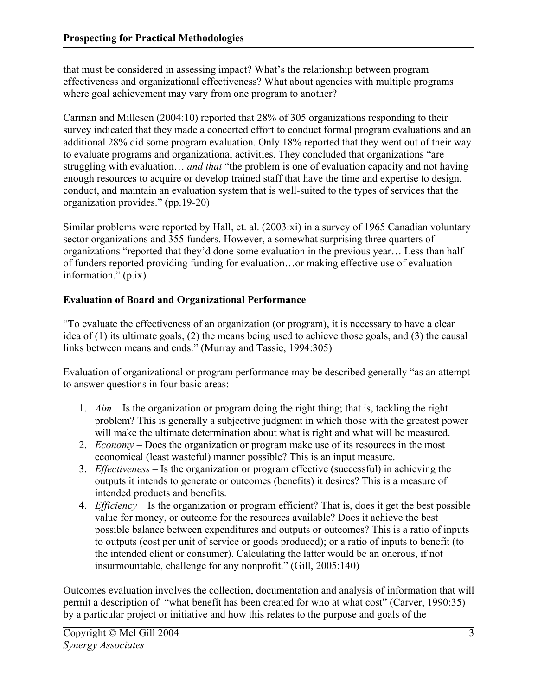that must be considered in assessing impact? What's the relationship between program effectiveness and organizational effectiveness? What about agencies with multiple programs where goal achievement may vary from one program to another?

Carman and Millesen (2004:10) reported that 28% of 305 organizations responding to their survey indicated that they made a concerted effort to conduct formal program evaluations and an additional 28% did some program evaluation. Only 18% reported that they went out of their way to evaluate programs and organizational activities. They concluded that organizations "are struggling with evaluation… *and that* "the problem is one of evaluation capacity and not having enough resources to acquire or develop trained staff that have the time and expertise to design, conduct, and maintain an evaluation system that is well-suited to the types of services that the organization provides." (pp.19-20)

Similar problems were reported by Hall, et. al. (2003:xi) in a survey of 1965 Canadian voluntary sector organizations and 355 funders. However, a somewhat surprising three quarters of organizations "reported that they'd done some evaluation in the previous year… Less than half of funders reported providing funding for evaluation…or making effective use of evaluation information." (p.ix)

## **Evaluation of Board and Organizational Performance**

"To evaluate the effectiveness of an organization (or program), it is necessary to have a clear idea of (1) its ultimate goals, (2) the means being used to achieve those goals, and (3) the causal links between means and ends." (Murray and Tassie, 1994:305)

Evaluation of organizational or program performance may be described generally "as an attempt to answer questions in four basic areas:

- 1. *Aim*  Is the organization or program doing the right thing; that is, tackling the right problem? This is generally a subjective judgment in which those with the greatest power will make the ultimate determination about what is right and what will be measured.
- 2. *Economy* Does the organization or program make use of its resources in the most economical (least wasteful) manner possible? This is an input measure.
- 3. *Effectiveness* Is the organization or program effective (successful) in achieving the outputs it intends to generate or outcomes (benefits) it desires? This is a measure of intended products and benefits.
- 4. *Efficiency* Is the organization or program efficient? That is, does it get the best possible value for money, or outcome for the resources available? Does it achieve the best possible balance between expenditures and outputs or outcomes? This is a ratio of inputs to outputs (cost per unit of service or goods produced); or a ratio of inputs to benefit (to the intended client or consumer). Calculating the latter would be an onerous, if not insurmountable, challenge for any nonprofit." (Gill, 2005:140)

Outcomes evaluation involves the collection, documentation and analysis of information that will permit a description of "what benefit has been created for who at what cost" (Carver, 1990:35) by a particular project or initiative and how this relates to the purpose and goals of the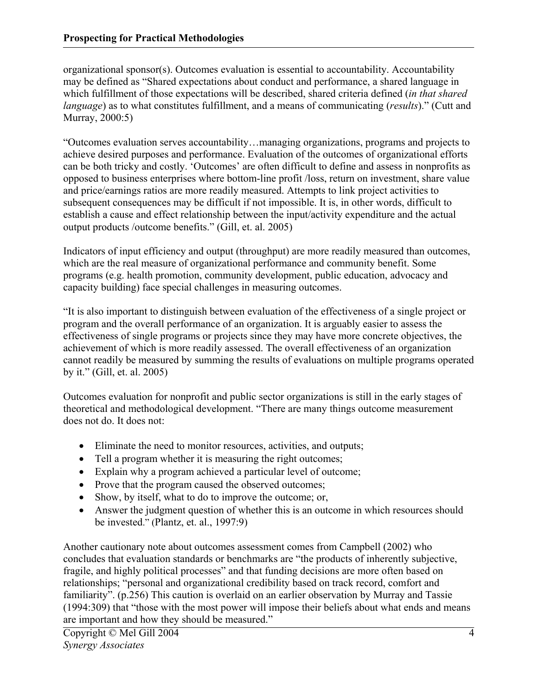organizational sponsor(s). Outcomes evaluation is essential to accountability. Accountability may be defined as "Shared expectations about conduct and performance, a shared language in which fulfillment of those expectations will be described, shared criteria defined (*in that shared language*) as to what constitutes fulfillment, and a means of communicating (*results*)." (Cutt and Murray, 2000:5)

"Outcomes evaluation serves accountability…managing organizations, programs and projects to achieve desired purposes and performance. Evaluation of the outcomes of organizational efforts can be both tricky and costly. 'Outcomes' are often difficult to define and assess in nonprofits as opposed to business enterprises where bottom-line profit /loss, return on investment, share value and price/earnings ratios are more readily measured. Attempts to link project activities to subsequent consequences may be difficult if not impossible. It is, in other words, difficult to establish a cause and effect relationship between the input/activity expenditure and the actual output products /outcome benefits." (Gill, et. al. 2005)

Indicators of input efficiency and output (throughput) are more readily measured than outcomes, which are the real measure of organizational performance and community benefit. Some programs (e.g. health promotion, community development, public education, advocacy and capacity building) face special challenges in measuring outcomes.

"It is also important to distinguish between evaluation of the effectiveness of a single project or program and the overall performance of an organization. It is arguably easier to assess the effectiveness of single programs or projects since they may have more concrete objectives, the achievement of which is more readily assessed. The overall effectiveness of an organization cannot readily be measured by summing the results of evaluations on multiple programs operated by it." (Gill, et. al. 2005)

Outcomes evaluation for nonprofit and public sector organizations is still in the early stages of theoretical and methodological development. "There are many things outcome measurement does not do. It does not:

- Eliminate the need to monitor resources, activities, and outputs;
- Tell a program whether it is measuring the right outcomes;
- Explain why a program achieved a particular level of outcome;
- Prove that the program caused the observed outcomes;
- Show, by itself, what to do to improve the outcome; or,
- Answer the judgment question of whether this is an outcome in which resources should be invested." (Plantz, et. al., 1997:9)

Another cautionary note about outcomes assessment comes from Campbell (2002) who concludes that evaluation standards or benchmarks are "the products of inherently subjective, fragile, and highly political processes" and that funding decisions are more often based on relationships; "personal and organizational credibility based on track record, comfort and familiarity". (p.256) This caution is overlaid on an earlier observation by Murray and Tassie (1994:309) that "those with the most power will impose their beliefs about what ends and means are important and how they should be measured."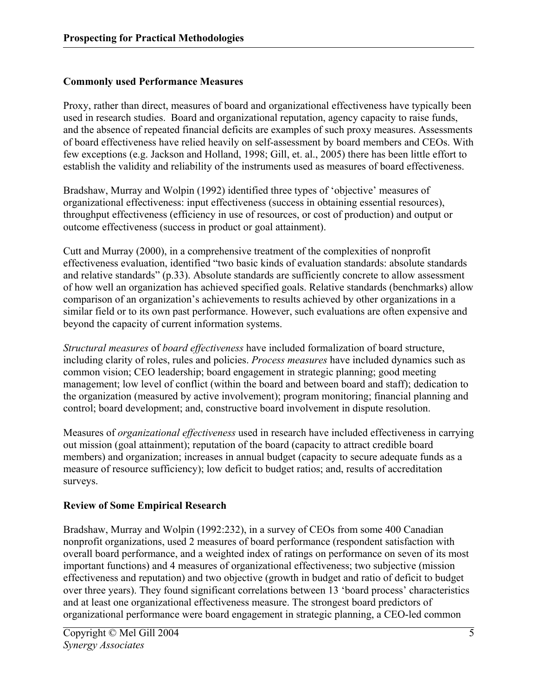## **Commonly used Performance Measures**

Proxy, rather than direct, measures of board and organizational effectiveness have typically been used in research studies. Board and organizational reputation, agency capacity to raise funds, and the absence of repeated financial deficits are examples of such proxy measures. Assessments of board effectiveness have relied heavily on self-assessment by board members and CEOs. With few exceptions (e.g. Jackson and Holland, 1998; Gill, et. al., 2005) there has been little effort to establish the validity and reliability of the instruments used as measures of board effectiveness.

Bradshaw, Murray and Wolpin (1992) identified three types of 'objective' measures of organizational effectiveness: input effectiveness (success in obtaining essential resources), throughput effectiveness (efficiency in use of resources, or cost of production) and output or outcome effectiveness (success in product or goal attainment).

Cutt and Murray (2000), in a comprehensive treatment of the complexities of nonprofit effectiveness evaluation, identified "two basic kinds of evaluation standards: absolute standards and relative standards" (p.33). Absolute standards are sufficiently concrete to allow assessment of how well an organization has achieved specified goals. Relative standards (benchmarks) allow comparison of an organization's achievements to results achieved by other organizations in a similar field or to its own past performance. However, such evaluations are often expensive and beyond the capacity of current information systems.

*Structural measures* of *board effectiveness* have included formalization of board structure, including clarity of roles, rules and policies. *Process measures* have included dynamics such as common vision; CEO leadership; board engagement in strategic planning; good meeting management; low level of conflict (within the board and between board and staff); dedication to the organization (measured by active involvement); program monitoring; financial planning and control; board development; and, constructive board involvement in dispute resolution.

Measures of *organizational effectiveness* used in research have included effectiveness in carrying out mission (goal attainment); reputation of the board (capacity to attract credible board members) and organization; increases in annual budget (capacity to secure adequate funds as a measure of resource sufficiency); low deficit to budget ratios; and, results of accreditation surveys.

#### **Review of Some Empirical Research**

Bradshaw, Murray and Wolpin (1992:232), in a survey of CEOs from some 400 Canadian nonprofit organizations, used 2 measures of board performance (respondent satisfaction with overall board performance, and a weighted index of ratings on performance on seven of its most important functions) and 4 measures of organizational effectiveness; two subjective (mission effectiveness and reputation) and two objective (growth in budget and ratio of deficit to budget over three years). They found significant correlations between 13 'board process' characteristics and at least one organizational effectiveness measure. The strongest board predictors of organizational performance were board engagement in strategic planning, a CEO-led common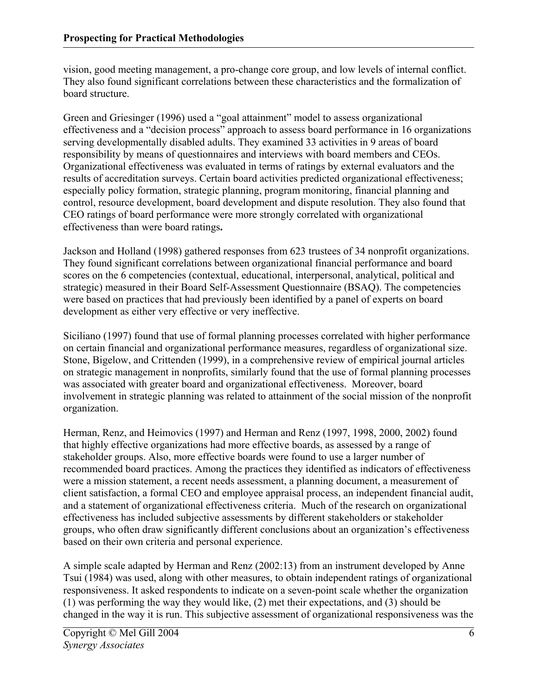vision, good meeting management, a pro-change core group, and low levels of internal conflict. They also found significant correlations between these characteristics and the formalization of board structure.

Green and Griesinger (1996) used a "goal attainment" model to assess organizational effectiveness and a "decision process" approach to assess board performance in 16 organizations serving developmentally disabled adults. They examined 33 activities in 9 areas of board responsibility by means of questionnaires and interviews with board members and CEOs. Organizational effectiveness was evaluated in terms of ratings by external evaluators and the results of accreditation surveys. Certain board activities predicted organizational effectiveness; especially policy formation, strategic planning, program monitoring, financial planning and control, resource development, board development and dispute resolution. They also found that CEO ratings of board performance were more strongly correlated with organizational effectiveness than were board ratings**.** 

Jackson and Holland (1998) gathered responses from 623 trustees of 34 nonprofit organizations. They found significant correlations between organizational financial performance and board scores on the 6 competencies (contextual, educational, interpersonal, analytical, political and strategic) measured in their Board Self-Assessment Questionnaire (BSAQ). The competencies were based on practices that had previously been identified by a panel of experts on board development as either very effective or very ineffective.

Siciliano (1997) found that use of formal planning processes correlated with higher performance on certain financial and organizational performance measures, regardless of organizational size. Stone, Bigelow, and Crittenden (1999), in a comprehensive review of empirical journal articles on strategic management in nonprofits, similarly found that the use of formal planning processes was associated with greater board and organizational effectiveness. Moreover, board involvement in strategic planning was related to attainment of the social mission of the nonprofit organization.

Herman, Renz, and Heimovics (1997) and Herman and Renz (1997, 1998, 2000, 2002) found that highly effective organizations had more effective boards, as assessed by a range of stakeholder groups. Also, more effective boards were found to use a larger number of recommended board practices. Among the practices they identified as indicators of effectiveness were a mission statement, a recent needs assessment, a planning document, a measurement of client satisfaction, a formal CEO and employee appraisal process, an independent financial audit, and a statement of organizational effectiveness criteria. Much of the research on organizational effectiveness has included subjective assessments by different stakeholders or stakeholder groups, who often draw significantly different conclusions about an organization's effectiveness based on their own criteria and personal experience.

A simple scale adapted by Herman and Renz (2002:13) from an instrument developed by Anne Tsui (1984) was used, along with other measures, to obtain independent ratings of organizational responsiveness. It asked respondents to indicate on a seven-point scale whether the organization (1) was performing the way they would like, (2) met their expectations, and (3) should be changed in the way it is run. This subjective assessment of organizational responsiveness was the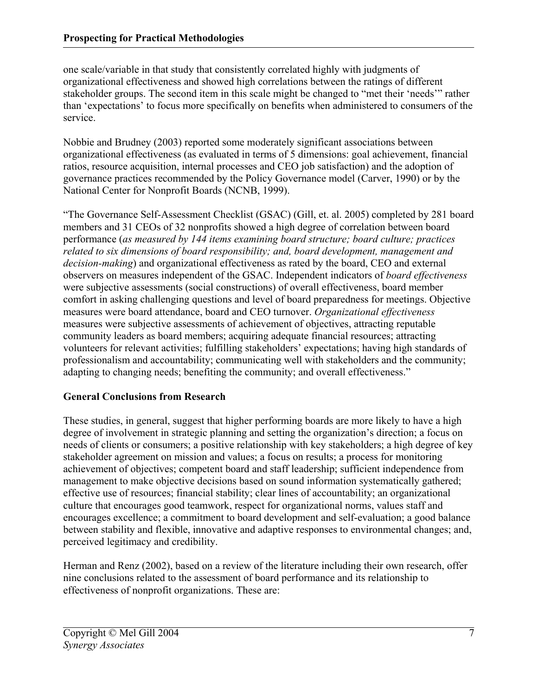one scale/variable in that study that consistently correlated highly with judgments of organizational effectiveness and showed high correlations between the ratings of different stakeholder groups. The second item in this scale might be changed to "met their 'needs'" rather than 'expectations' to focus more specifically on benefits when administered to consumers of the service.

Nobbie and Brudney (2003) reported some moderately significant associations between organizational effectiveness (as evaluated in terms of 5 dimensions: goal achievement, financial ratios, resource acquisition, internal processes and CEO job satisfaction) and the adoption of governance practices recommended by the Policy Governance model (Carver, 1990) or by the National Center for Nonprofit Boards (NCNB, 1999).

"The Governance Self-Assessment Checklist (GSAC) (Gill, et. al. 2005) completed by 281 board members and 31 CEOs of 32 nonprofits showed a high degree of correlation between board performance (*as measured by 144 items examining board structure; board culture; practices related to six dimensions of board responsibility; and, board development, management and decision-making*) and organizational effectiveness as rated by the board, CEO and external observers on measures independent of the GSAC. Independent indicators of *board effectiveness* were subjective assessments (social constructions) of overall effectiveness, board member comfort in asking challenging questions and level of board preparedness for meetings. Objective measures were board attendance, board and CEO turnover. *Organizational effectiveness* measures were subjective assessments of achievement of objectives, attracting reputable community leaders as board members; acquiring adequate financial resources; attracting volunteers for relevant activities; fulfilling stakeholders' expectations; having high standards of professionalism and accountability; communicating well with stakeholders and the community; adapting to changing needs; benefiting the community; and overall effectiveness."

## **General Conclusions from Research**

These studies, in general, suggest that higher performing boards are more likely to have a high degree of involvement in strategic planning and setting the organization's direction; a focus on needs of clients or consumers; a positive relationship with key stakeholders; a high degree of key stakeholder agreement on mission and values; a focus on results; a process for monitoring achievement of objectives; competent board and staff leadership; sufficient independence from management to make objective decisions based on sound information systematically gathered; effective use of resources; financial stability; clear lines of accountability; an organizational culture that encourages good teamwork, respect for organizational norms, values staff and encourages excellence; a commitment to board development and self-evaluation; a good balance between stability and flexible, innovative and adaptive responses to environmental changes; and, perceived legitimacy and credibility.

Herman and Renz (2002), based on a review of the literature including their own research, offer nine conclusions related to the assessment of board performance and its relationship to effectiveness of nonprofit organizations. These are: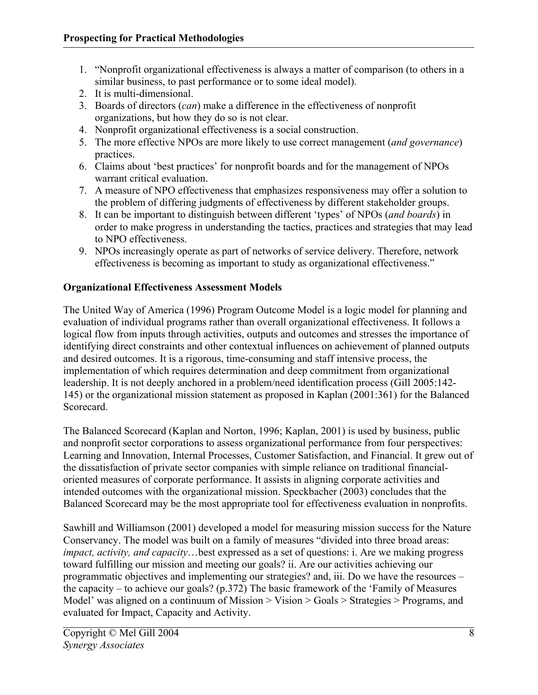- 1. "Nonprofit organizational effectiveness is always a matter of comparison (to others in a similar business, to past performance or to some ideal model).
- 2. It is multi-dimensional.
- 3. Boards of directors (*can*) make a difference in the effectiveness of nonprofit organizations, but how they do so is not clear.
- 4. Nonprofit organizational effectiveness is a social construction.
- 5. The more effective NPOs are more likely to use correct management (*and governance*) practices.
- 6. Claims about 'best practices' for nonprofit boards and for the management of NPOs warrant critical evaluation.
- 7. A measure of NPO effectiveness that emphasizes responsiveness may offer a solution to the problem of differing judgments of effectiveness by different stakeholder groups.
- 8. It can be important to distinguish between different 'types' of NPOs (*and boards*) in order to make progress in understanding the tactics, practices and strategies that may lead to NPO effectiveness.
- 9. NPOs increasingly operate as part of networks of service delivery. Therefore, network effectiveness is becoming as important to study as organizational effectiveness."

## **Organizational Effectiveness Assessment Models**

The United Way of America (1996) Program Outcome Model is a logic model for planning and evaluation of individual programs rather than overall organizational effectiveness. It follows a logical flow from inputs through activities, outputs and outcomes and stresses the importance of identifying direct constraints and other contextual influences on achievement of planned outputs and desired outcomes. It is a rigorous, time-consuming and staff intensive process, the implementation of which requires determination and deep commitment from organizational leadership. It is not deeply anchored in a problem/need identification process (Gill 2005:142- 145) or the organizational mission statement as proposed in Kaplan (2001:361) for the Balanced Scorecard.

The Balanced Scorecard (Kaplan and Norton, 1996; Kaplan, 2001) is used by business, public and nonprofit sector corporations to assess organizational performance from four perspectives: Learning and Innovation, Internal Processes, Customer Satisfaction, and Financial. It grew out of the dissatisfaction of private sector companies with simple reliance on traditional financialoriented measures of corporate performance. It assists in aligning corporate activities and intended outcomes with the organizational mission. Speckbacher (2003) concludes that the Balanced Scorecard may be the most appropriate tool for effectiveness evaluation in nonprofits.

Sawhill and Williamson (2001) developed a model for measuring mission success for the Nature Conservancy. The model was built on a family of measures "divided into three broad areas: *impact, activity, and capacity*…best expressed as a set of questions: i. Are we making progress toward fulfilling our mission and meeting our goals? ii. Are our activities achieving our programmatic objectives and implementing our strategies? and, iii. Do we have the resources – the capacity – to achieve our goals? (p.372) The basic framework of the 'Family of Measures Model' was aligned on a continuum of Mission > Vision > Goals > Strategies > Programs, and evaluated for Impact, Capacity and Activity.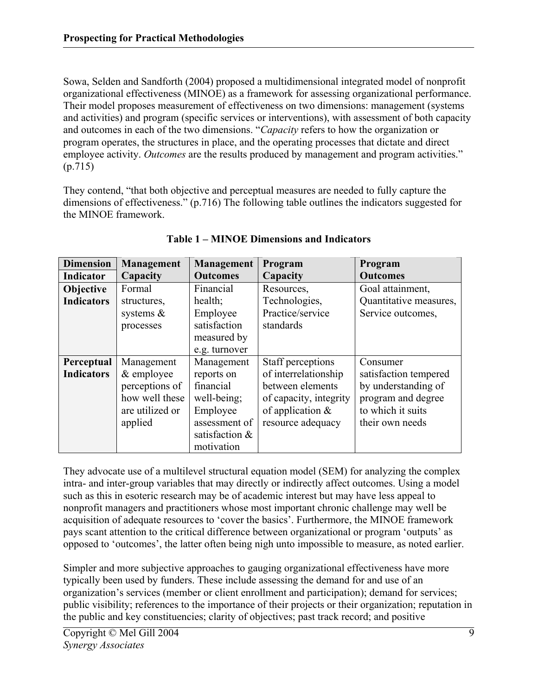Sowa, Selden and Sandforth (2004) proposed a multidimensional integrated model of nonprofit organizational effectiveness (MINOE) as a framework for assessing organizational performance. Their model proposes measurement of effectiveness on two dimensions: management (systems and activities) and program (specific services or interventions), with assessment of both capacity and outcomes in each of the two dimensions. "*Capacity* refers to how the organization or program operates, the structures in place, and the operating processes that dictate and direct employee activity. *Outcomes* are the results produced by management and program activities." (p.715)

They contend, "that both objective and perceptual measures are needed to fully capture the dimensions of effectiveness." (p.716) The following table outlines the indicators suggested for the MINOE framework.

| <b>Dimension</b>  | Management      | <b>Management</b> | Program                | Program                |
|-------------------|-----------------|-------------------|------------------------|------------------------|
| <b>Indicator</b>  | Capacity        | <b>Outcomes</b>   | Capacity               | <b>Outcomes</b>        |
| Objective         | Formal          | Financial         | Resources,             | Goal attainment,       |
| <b>Indicators</b> | structures,     | health;           | Technologies,          | Quantitative measures, |
|                   | systems $\&$    | Employee          | Practice/service       | Service outcomes,      |
|                   | processes       | satisfaction      | standards              |                        |
|                   |                 | measured by       |                        |                        |
|                   |                 | e.g. turnover     |                        |                        |
| Perceptual        | Management      | Management        | Staff perceptions      | Consumer               |
| <b>Indicators</b> | $&$ employee    | reports on        | of interrelationship   | satisfaction tempered  |
|                   | perceptions of  | financial         | between elements       | by understanding of    |
|                   | how well these  | well-being;       | of capacity, integrity | program and degree     |
|                   | are utilized or | Employee          | of application $\&$    | to which it suits      |
|                   | applied         | assessment of     | resource adequacy      | their own needs        |
|                   |                 | satisfaction &    |                        |                        |
|                   |                 | motivation        |                        |                        |

**Table 1 – MINOE Dimensions and Indicators** 

They advocate use of a multilevel structural equation model (SEM) for analyzing the complex intra- and inter-group variables that may directly or indirectly affect outcomes. Using a model such as this in esoteric research may be of academic interest but may have less appeal to nonprofit managers and practitioners whose most important chronic challenge may well be acquisition of adequate resources to 'cover the basics'. Furthermore, the MINOE framework pays scant attention to the critical difference between organizational or program 'outputs' as opposed to 'outcomes', the latter often being nigh unto impossible to measure, as noted earlier.

Simpler and more subjective approaches to gauging organizational effectiveness have more typically been used by funders. These include assessing the demand for and use of an organization's services (member or client enrollment and participation); demand for services; public visibility; references to the importance of their projects or their organization; reputation in the public and key constituencies; clarity of objectives; past track record; and positive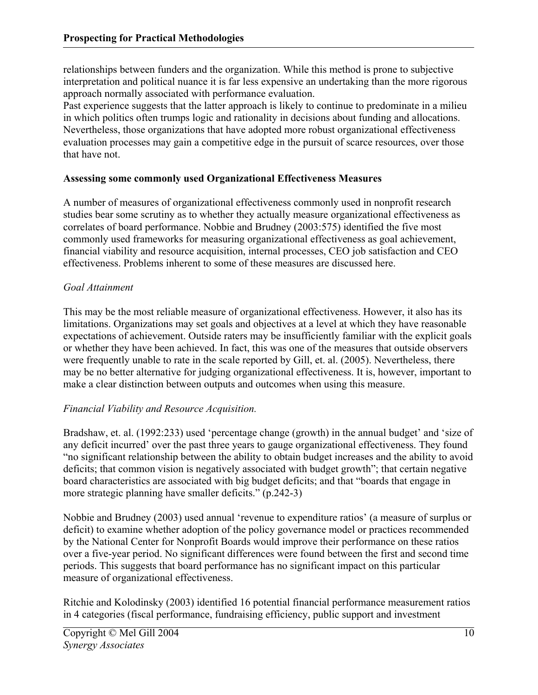relationships between funders and the organization. While this method is prone to subjective interpretation and political nuance it is far less expensive an undertaking than the more rigorous approach normally associated with performance evaluation.

Past experience suggests that the latter approach is likely to continue to predominate in a milieu in which politics often trumps logic and rationality in decisions about funding and allocations. Nevertheless, those organizations that have adopted more robust organizational effectiveness evaluation processes may gain a competitive edge in the pursuit of scarce resources, over those that have not.

#### **Assessing some commonly used Organizational Effectiveness Measures**

A number of measures of organizational effectiveness commonly used in nonprofit research studies bear some scrutiny as to whether they actually measure organizational effectiveness as correlates of board performance. Nobbie and Brudney (2003:575) identified the five most commonly used frameworks for measuring organizational effectiveness as goal achievement, financial viability and resource acquisition, internal processes, CEO job satisfaction and CEO effectiveness. Problems inherent to some of these measures are discussed here.

#### *Goal Attainment*

This may be the most reliable measure of organizational effectiveness. However, it also has its limitations. Organizations may set goals and objectives at a level at which they have reasonable expectations of achievement. Outside raters may be insufficiently familiar with the explicit goals or whether they have been achieved. In fact, this was one of the measures that outside observers were frequently unable to rate in the scale reported by Gill, et. al. (2005). Nevertheless, there may be no better alternative for judging organizational effectiveness. It is, however, important to make a clear distinction between outputs and outcomes when using this measure.

## *Financial Viability and Resource Acquisition.*

Bradshaw, et. al. (1992:233) used 'percentage change (growth) in the annual budget' and 'size of any deficit incurred' over the past three years to gauge organizational effectiveness. They found "no significant relationship between the ability to obtain budget increases and the ability to avoid deficits; that common vision is negatively associated with budget growth"; that certain negative board characteristics are associated with big budget deficits; and that "boards that engage in more strategic planning have smaller deficits." (p.242-3)

Nobbie and Brudney (2003) used annual 'revenue to expenditure ratios' (a measure of surplus or deficit) to examine whether adoption of the policy governance model or practices recommended by the National Center for Nonprofit Boards would improve their performance on these ratios over a five-year period. No significant differences were found between the first and second time periods. This suggests that board performance has no significant impact on this particular measure of organizational effectiveness.

Ritchie and Kolodinsky (2003) identified 16 potential financial performance measurement ratios in 4 categories (fiscal performance, fundraising efficiency, public support and investment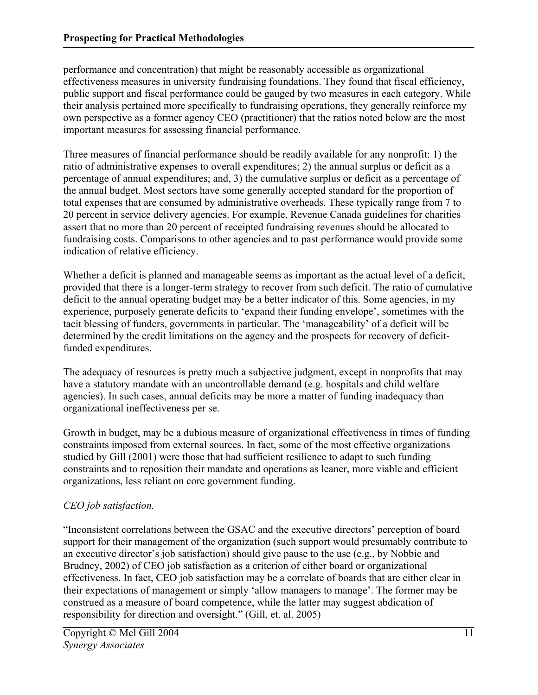performance and concentration) that might be reasonably accessible as organizational effectiveness measures in university fundraising foundations. They found that fiscal efficiency, public support and fiscal performance could be gauged by two measures in each category. While their analysis pertained more specifically to fundraising operations, they generally reinforce my own perspective as a former agency CEO (practitioner) that the ratios noted below are the most important measures for assessing financial performance.

Three measures of financial performance should be readily available for any nonprofit: 1) the ratio of administrative expenses to overall expenditures; 2) the annual surplus or deficit as a percentage of annual expenditures; and, 3) the cumulative surplus or deficit as a percentage of the annual budget. Most sectors have some generally accepted standard for the proportion of total expenses that are consumed by administrative overheads. These typically range from 7 to 20 percent in service delivery agencies. For example, Revenue Canada guidelines for charities assert that no more than 20 percent of receipted fundraising revenues should be allocated to fundraising costs. Comparisons to other agencies and to past performance would provide some indication of relative efficiency.

Whether a deficit is planned and manageable seems as important as the actual level of a deficit, provided that there is a longer-term strategy to recover from such deficit. The ratio of cumulative deficit to the annual operating budget may be a better indicator of this. Some agencies, in my experience, purposely generate deficits to 'expand their funding envelope', sometimes with the tacit blessing of funders, governments in particular. The 'manageability' of a deficit will be determined by the credit limitations on the agency and the prospects for recovery of deficitfunded expenditures.

The adequacy of resources is pretty much a subjective judgment, except in nonprofits that may have a statutory mandate with an uncontrollable demand (e.g. hospitals and child welfare agencies). In such cases, annual deficits may be more a matter of funding inadequacy than organizational ineffectiveness per se.

Growth in budget, may be a dubious measure of organizational effectiveness in times of funding constraints imposed from external sources. In fact, some of the most effective organizations studied by Gill (2001) were those that had sufficient resilience to adapt to such funding constraints and to reposition their mandate and operations as leaner, more viable and efficient organizations, less reliant on core government funding.

## *CEO job satisfaction.*

"Inconsistent correlations between the GSAC and the executive directors' perception of board support for their management of the organization (such support would presumably contribute to an executive director's job satisfaction) should give pause to the use (e.g., by Nobbie and Brudney, 2002) of CEO job satisfaction as a criterion of either board or organizational effectiveness. In fact, CEO job satisfaction may be a correlate of boards that are either clear in their expectations of management or simply 'allow managers to manage'. The former may be construed as a measure of board competence, while the latter may suggest abdication of responsibility for direction and oversight." (Gill, et. al. 2005)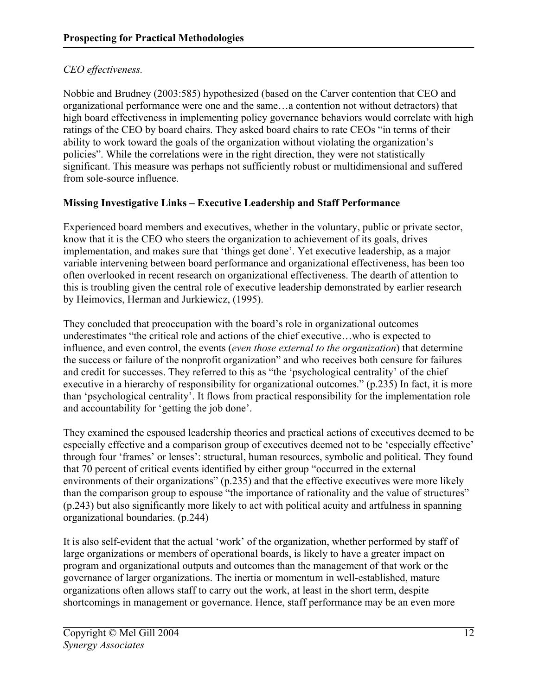## *CEO effectiveness.*

Nobbie and Brudney (2003:585) hypothesized (based on the Carver contention that CEO and organizational performance were one and the same…a contention not without detractors) that high board effectiveness in implementing policy governance behaviors would correlate with high ratings of the CEO by board chairs. They asked board chairs to rate CEOs "in terms of their ability to work toward the goals of the organization without violating the organization's policies". While the correlations were in the right direction, they were not statistically significant. This measure was perhaps not sufficiently robust or multidimensional and suffered from sole-source influence.

## **Missing Investigative Links – Executive Leadership and Staff Performance**

Experienced board members and executives, whether in the voluntary, public or private sector, know that it is the CEO who steers the organization to achievement of its goals, drives implementation, and makes sure that 'things get done'. Yet executive leadership, as a major variable intervening between board performance and organizational effectiveness, has been too often overlooked in recent research on organizational effectiveness. The dearth of attention to this is troubling given the central role of executive leadership demonstrated by earlier research by Heimovics, Herman and Jurkiewicz, (1995).

They concluded that preoccupation with the board's role in organizational outcomes underestimates "the critical role and actions of the chief executive…who is expected to influence, and even control, the events (*even those external to the organization*) that determine the success or failure of the nonprofit organization" and who receives both censure for failures and credit for successes. They referred to this as "the 'psychological centrality' of the chief executive in a hierarchy of responsibility for organizational outcomes." (p.235) In fact, it is more than 'psychological centrality'. It flows from practical responsibility for the implementation role and accountability for 'getting the job done'.

They examined the espoused leadership theories and practical actions of executives deemed to be especially effective and a comparison group of executives deemed not to be 'especially effective' through four 'frames' or lenses': structural, human resources, symbolic and political. They found that 70 percent of critical events identified by either group "occurred in the external environments of their organizations" (p.235) and that the effective executives were more likely than the comparison group to espouse "the importance of rationality and the value of structures" (p.243) but also significantly more likely to act with political acuity and artfulness in spanning organizational boundaries. (p.244)

It is also self-evident that the actual 'work' of the organization, whether performed by staff of large organizations or members of operational boards, is likely to have a greater impact on program and organizational outputs and outcomes than the management of that work or the governance of larger organizations. The inertia or momentum in well-established, mature organizations often allows staff to carry out the work, at least in the short term, despite shortcomings in management or governance. Hence, staff performance may be an even more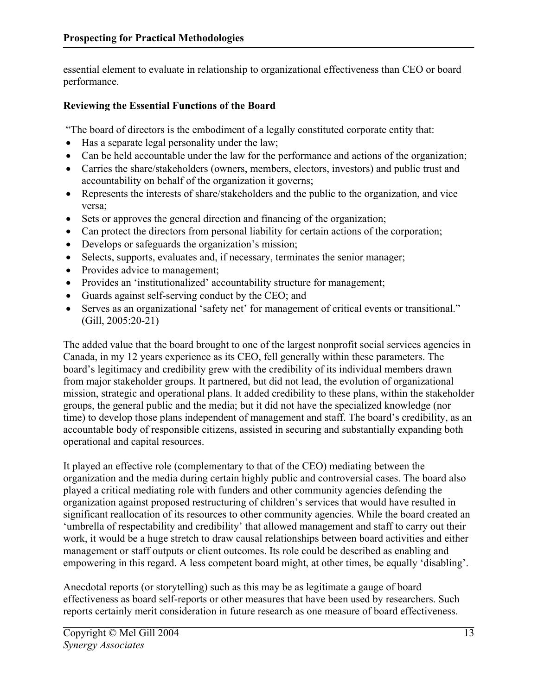essential element to evaluate in relationship to organizational effectiveness than CEO or board performance.

## **Reviewing the Essential Functions of the Board**

"The board of directors is the embodiment of a legally constituted corporate entity that:

- Has a separate legal personality under the law;
- Can be held accountable under the law for the performance and actions of the organization;
- Carries the share/stakeholders (owners, members, electors, investors) and public trust and accountability on behalf of the organization it governs;
- Represents the interests of share/stakeholders and the public to the organization, and vice versa;
- Sets or approves the general direction and financing of the organization;
- Can protect the directors from personal liability for certain actions of the corporation;
- Develops or safeguards the organization's mission;
- Selects, supports, evaluates and, if necessary, terminates the senior manager;
- Provides advice to management;
- Provides an 'institutionalized' accountability structure for management;
- Guards against self-serving conduct by the CEO; and
- Serves as an organizational 'safety net' for management of critical events or transitional." (Gill, 2005:20-21)

The added value that the board brought to one of the largest nonprofit social services agencies in Canada, in my 12 years experience as its CEO, fell generally within these parameters. The board's legitimacy and credibility grew with the credibility of its individual members drawn from major stakeholder groups. It partnered, but did not lead, the evolution of organizational mission, strategic and operational plans. It added credibility to these plans, within the stakeholder groups, the general public and the media; but it did not have the specialized knowledge (nor time) to develop those plans independent of management and staff. The board's credibility, as an accountable body of responsible citizens, assisted in securing and substantially expanding both operational and capital resources.

It played an effective role (complementary to that of the CEO) mediating between the organization and the media during certain highly public and controversial cases. The board also played a critical mediating role with funders and other community agencies defending the organization against proposed restructuring of children's services that would have resulted in significant reallocation of its resources to other community agencies. While the board created an 'umbrella of respectability and credibility' that allowed management and staff to carry out their work, it would be a huge stretch to draw causal relationships between board activities and either management or staff outputs or client outcomes. Its role could be described as enabling and empowering in this regard. A less competent board might, at other times, be equally 'disabling'.

Anecdotal reports (or storytelling) such as this may be as legitimate a gauge of board effectiveness as board self-reports or other measures that have been used by researchers. Such reports certainly merit consideration in future research as one measure of board effectiveness.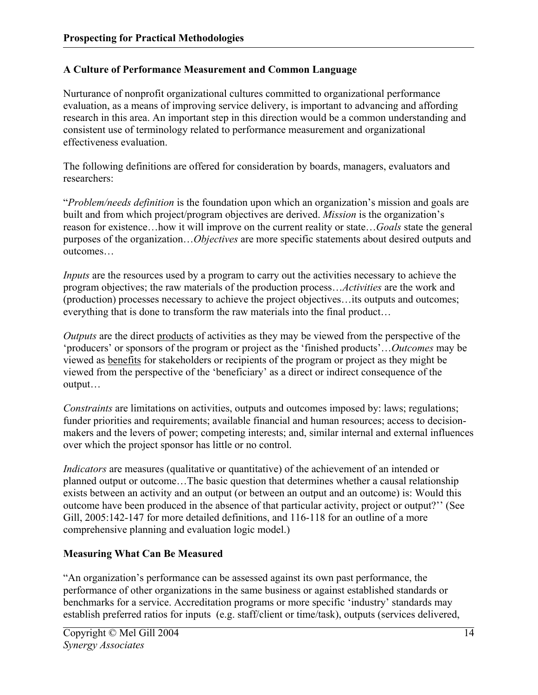## **A Culture of Performance Measurement and Common Language**

Nurturance of nonprofit organizational cultures committed to organizational performance evaluation, as a means of improving service delivery, is important to advancing and affording research in this area. An important step in this direction would be a common understanding and consistent use of terminology related to performance measurement and organizational effectiveness evaluation.

The following definitions are offered for consideration by boards, managers, evaluators and researchers:

"*Problem/needs definition* is the foundation upon which an organization's mission and goals are built and from which project/program objectives are derived. *Mission* is the organization's reason for existence…how it will improve on the current reality or state…*Goals* state the general purposes of the organization…*Objectives* are more specific statements about desired outputs and outcomes…

*Inputs* are the resources used by a program to carry out the activities necessary to achieve the program objectives; the raw materials of the production process…*Activities* are the work and (production) processes necessary to achieve the project objectives…its outputs and outcomes; everything that is done to transform the raw materials into the final product…

*Outputs* are the direct products of activities as they may be viewed from the perspective of the 'producers' or sponsors of the program or project as the 'finished products'…*Outcomes* may be viewed as benefits for stakeholders or recipients of the program or project as they might be viewed from the perspective of the 'beneficiary' as a direct or indirect consequence of the output…

*Constraints* are limitations on activities, outputs and outcomes imposed by: laws; regulations; funder priorities and requirements; available financial and human resources; access to decisionmakers and the levers of power; competing interests; and, similar internal and external influences over which the project sponsor has little or no control.

*Indicators* are measures (qualitative or quantitative) of the achievement of an intended or planned output or outcome…The basic question that determines whether a causal relationship exists between an activity and an output (or between an output and an outcome) is: Would this outcome have been produced in the absence of that particular activity, project or output?'' (See Gill, 2005:142-147 for more detailed definitions, and 116-118 for an outline of a more comprehensive planning and evaluation logic model.)

## **Measuring What Can Be Measured**

"An organization's performance can be assessed against its own past performance, the performance of other organizations in the same business or against established standards or benchmarks for a service. Accreditation programs or more specific 'industry' standards may establish preferred ratios for inputs (e.g. staff/client or time/task), outputs (services delivered,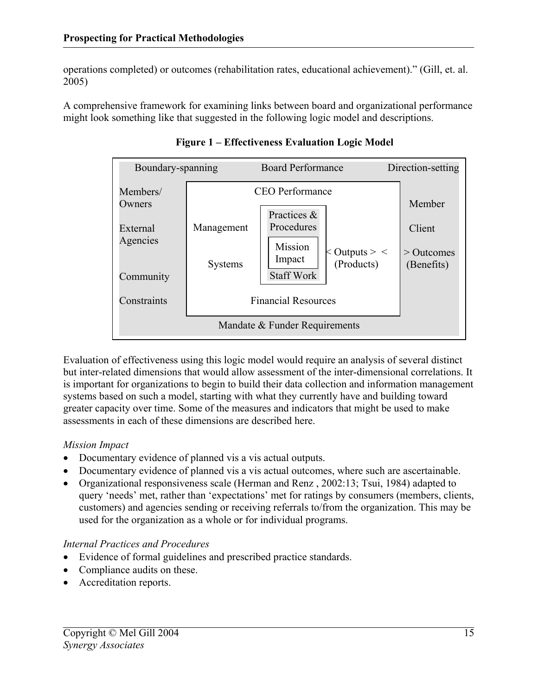operations completed) or outcomes (rehabilitation rates, educational achievement)." (Gill, et. al. 2005)

A comprehensive framework for examining links between board and organizational performance might look something like that suggested in the following logic model and descriptions.

| Boundary-spanning                          |                            | <b>Board Performance</b>                                                              | Direction-setting                |  |  |  |
|--------------------------------------------|----------------------------|---------------------------------------------------------------------------------------|----------------------------------|--|--|--|
| Members/<br>Owners<br>External<br>Agencies | Management                 | <b>CEO</b> Performance<br>Practices &<br>Procedures<br>Mission<br>$<$ Outputs $>$ $<$ | Member<br>Client<br>$>$ Outcomes |  |  |  |
| Community                                  | Systems                    | Impact<br>(Products)<br><b>Staff Work</b>                                             | (Benefits)                       |  |  |  |
| Constraints                                | <b>Financial Resources</b> |                                                                                       |                                  |  |  |  |
| Mandate & Funder Requirements              |                            |                                                                                       |                                  |  |  |  |

**Figure 1 – Effectiveness Evaluation Logic Model** 

Evaluation of effectiveness using this logic model would require an analysis of several distinct but inter-related dimensions that would allow assessment of the inter-dimensional correlations. It is important for organizations to begin to build their data collection and information management systems based on such a model, starting with what they currently have and building toward greater capacity over time. Some of the measures and indicators that might be used to make assessments in each of these dimensions are described here.

## *Mission Impact*

- Documentary evidence of planned vis a vis actual outputs.
- Documentary evidence of planned vis a vis actual outcomes, where such are ascertainable.
- Organizational responsiveness scale (Herman and Renz, 2002;13; Tsui, 1984) adapted to query 'needs' met, rather than 'expectations' met for ratings by consumers (members, clients, customers) and agencies sending or receiving referrals to/from the organization. This may be used for the organization as a whole or for individual programs.

#### *Internal Practices and Procedures*

- Evidence of formal guidelines and prescribed practice standards.
- Compliance audits on these.
- Accreditation reports.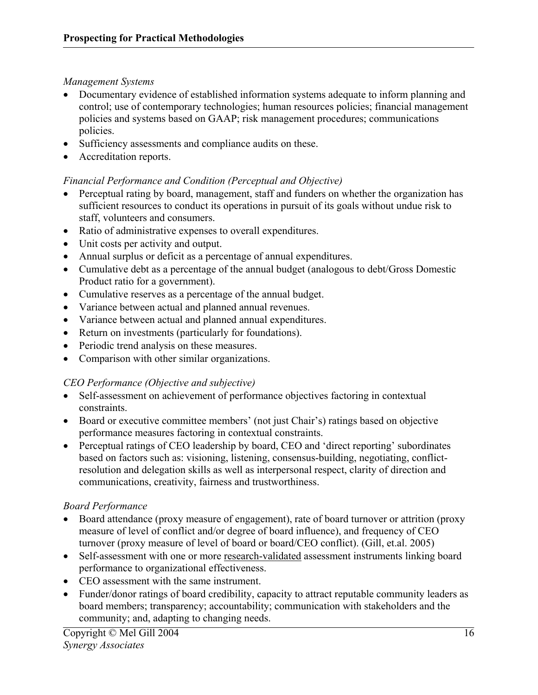#### *Management Systems*

- Documentary evidence of established information systems adequate to inform planning and control; use of contemporary technologies; human resources policies; financial management policies and systems based on GAAP; risk management procedures; communications policies.
- Sufficiency assessments and compliance audits on these.
- Accreditation reports.

## *Financial Performance and Condition (Perceptual and Objective)*

- Perceptual rating by board, management, staff and funders on whether the organization has sufficient resources to conduct its operations in pursuit of its goals without undue risk to staff, volunteers and consumers.
- Ratio of administrative expenses to overall expenditures.
- Unit costs per activity and output.
- Annual surplus or deficit as a percentage of annual expenditures.
- Cumulative debt as a percentage of the annual budget (analogous to debt/Gross Domestic Product ratio for a government).
- Cumulative reserves as a percentage of the annual budget.
- Variance between actual and planned annual revenues.
- Variance between actual and planned annual expenditures.
- Return on investments (particularly for foundations).
- Periodic trend analysis on these measures.
- Comparison with other similar organizations.

## *CEO Performance (Objective and subjective)*

- Self-assessment on achievement of performance objectives factoring in contextual constraints.
- Board or executive committee members' (not just Chair's) ratings based on objective performance measures factoring in contextual constraints.
- Perceptual ratings of CEO leadership by board, CEO and 'direct reporting' subordinates based on factors such as: visioning, listening, consensus-building, negotiating, conflictresolution and delegation skills as well as interpersonal respect, clarity of direction and communications, creativity, fairness and trustworthiness.

## *Board Performance*

- Board attendance (proxy measure of engagement), rate of board turnover or attrition (proxy measure of level of conflict and/or degree of board influence), and frequency of CEO turnover (proxy measure of level of board or board/CEO conflict). (Gill, et.al. 2005)
- Self-assessment with one or more research-validated assessment instruments linking board performance to organizational effectiveness.
- CEO assessment with the same instrument.
- Funder/donor ratings of board credibility, capacity to attract reputable community leaders as board members; transparency; accountability; communication with stakeholders and the community; and, adapting to changing needs.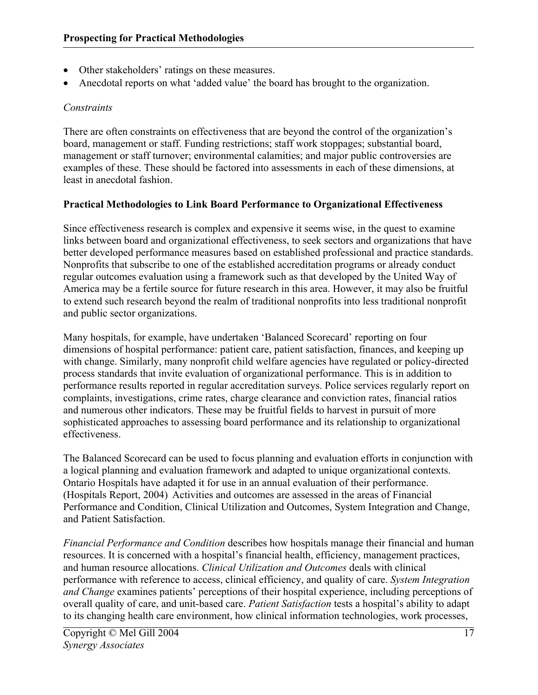- Other stakeholders' ratings on these measures.
- Anecdotal reports on what 'added value' the board has brought to the organization.

## *Constraints*

There are often constraints on effectiveness that are beyond the control of the organization's board, management or staff. Funding restrictions; staff work stoppages; substantial board, management or staff turnover; environmental calamities; and major public controversies are examples of these. These should be factored into assessments in each of these dimensions, at least in anecdotal fashion.

#### **Practical Methodologies to Link Board Performance to Organizational Effectiveness**

Since effectiveness research is complex and expensive it seems wise, in the quest to examine links between board and organizational effectiveness, to seek sectors and organizations that have better developed performance measures based on established professional and practice standards. Nonprofits that subscribe to one of the established accreditation programs or already conduct regular outcomes evaluation using a framework such as that developed by the United Way of America may be a fertile source for future research in this area. However, it may also be fruitful to extend such research beyond the realm of traditional nonprofits into less traditional nonprofit and public sector organizations.

Many hospitals, for example, have undertaken 'Balanced Scorecard' reporting on four dimensions of hospital performance: patient care, patient satisfaction, finances, and keeping up with change. Similarly, many nonprofit child welfare agencies have regulated or policy-directed process standards that invite evaluation of organizational performance. This is in addition to performance results reported in regular accreditation surveys. Police services regularly report on complaints, investigations, crime rates, charge clearance and conviction rates, financial ratios and numerous other indicators. These may be fruitful fields to harvest in pursuit of more sophisticated approaches to assessing board performance and its relationship to organizational effectiveness.

The Balanced Scorecard can be used to focus planning and evaluation efforts in conjunction with a logical planning and evaluation framework and adapted to unique organizational contexts. Ontario Hospitals have adapted it for use in an annual evaluation of their performance. (Hospitals Report, 2004) Activities and outcomes are assessed in the areas of Financial Performance and Condition, Clinical Utilization and Outcomes, System Integration and Change, and Patient Satisfaction.

*Financial Performance and Condition* describes how hospitals manage their financial and human resources. It is concerned with a hospital's financial health, efficiency, management practices, and human resource allocations. *Clinical Utilization and Outcomes* deals with clinical performance with reference to access, clinical efficiency, and quality of care. *System Integration and Change* examines patients' perceptions of their hospital experience, including perceptions of overall quality of care, and unit-based care. *Patient Satisfaction* tests a hospital's ability to adapt to its changing health care environment, how clinical information technologies, work processes,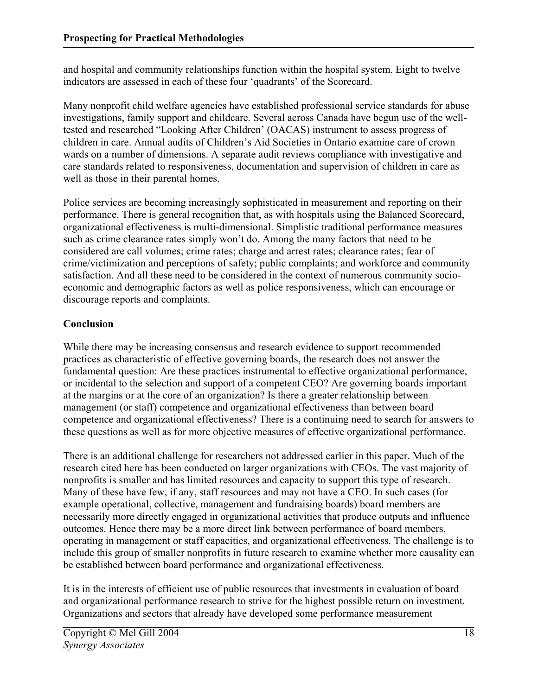and hospital and community relationships function within the hospital system. Eight to twelve indicators are assessed in each of these four 'quadrants' of the Scorecard.

Many nonprofit child welfare agencies have established professional service standards for abuse investigations, family support and childcare. Several across Canada have begun use of the welltested and researched "Looking After Children' (OACAS) instrument to assess progress of children in care. Annual audits of Children's Aid Societies in Ontario examine care of crown wards on a number of dimensions. A separate audit reviews compliance with investigative and care standards related to responsiveness, documentation and supervision of children in care as well as those in their parental homes.

Police services are becoming increasingly sophisticated in measurement and reporting on their performance. There is general recognition that, as with hospitals using the Balanced Scorecard, organizational effectiveness is multi-dimensional. Simplistic traditional performance measures such as crime clearance rates simply won't do. Among the many factors that need to be considered are call volumes; crime rates; charge and arrest rates; clearance rates; fear of crime/victimization and perceptions of safety; public complaints; and workforce and community satisfaction. And all these need to be considered in the context of numerous community socioeconomic and demographic factors as well as police responsiveness, which can encourage or discourage reports and complaints.

## **Conclusion**

While there may be increasing consensus and research evidence to support recommended practices as characteristic of effective governing boards, the research does not answer the fundamental question: Are these practices instrumental to effective organizational performance, or incidental to the selection and support of a competent CEO? Are governing boards important at the margins or at the core of an organization? Is there a greater relationship between management (or staff) competence and organizational effectiveness than between board competence and organizational effectiveness? There is a continuing need to search for answers to these questions as well as for more objective measures of effective organizational performance.

There is an additional challenge for researchers not addressed earlier in this paper. Much of the research cited here has been conducted on larger organizations with CEOs. The vast majority of nonprofits is smaller and has limited resources and capacity to support this type of research. Many of these have few, if any, staff resources and may not have a CEO. In such cases (for example operational, collective, management and fundraising boards) board members are necessarily more directly engaged in organizational activities that produce outputs and influence outcomes. Hence there may be a more direct link between performance of board members, operating in management or staff capacities, and organizational effectiveness. The challenge is to include this group of smaller nonprofits in future research to examine whether more causality can be established between board performance and organizational effectiveness.

It is in the interests of efficient use of public resources that investments in evaluation of board and organizational performance research to strive for the highest possible return on investment. Organizations and sectors that already have developed some performance measurement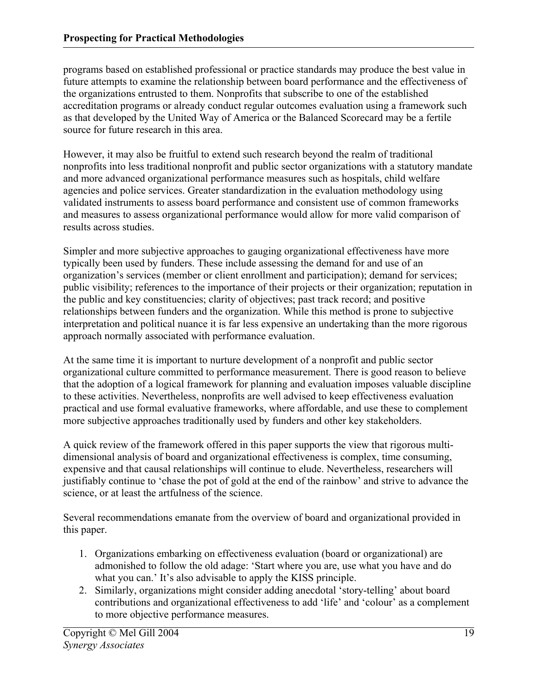programs based on established professional or practice standards may produce the best value in future attempts to examine the relationship between board performance and the effectiveness of the organizations entrusted to them. Nonprofits that subscribe to one of the established accreditation programs or already conduct regular outcomes evaluation using a framework such as that developed by the United Way of America or the Balanced Scorecard may be a fertile source for future research in this area.

However, it may also be fruitful to extend such research beyond the realm of traditional nonprofits into less traditional nonprofit and public sector organizations with a statutory mandate and more advanced organizational performance measures such as hospitals, child welfare agencies and police services. Greater standardization in the evaluation methodology using validated instruments to assess board performance and consistent use of common frameworks and measures to assess organizational performance would allow for more valid comparison of results across studies.

Simpler and more subjective approaches to gauging organizational effectiveness have more typically been used by funders. These include assessing the demand for and use of an organization's services (member or client enrollment and participation); demand for services; public visibility; references to the importance of their projects or their organization; reputation in the public and key constituencies; clarity of objectives; past track record; and positive relationships between funders and the organization. While this method is prone to subjective interpretation and political nuance it is far less expensive an undertaking than the more rigorous approach normally associated with performance evaluation.

At the same time it is important to nurture development of a nonprofit and public sector organizational culture committed to performance measurement. There is good reason to believe that the adoption of a logical framework for planning and evaluation imposes valuable discipline to these activities. Nevertheless, nonprofits are well advised to keep effectiveness evaluation practical and use formal evaluative frameworks, where affordable, and use these to complement more subjective approaches traditionally used by funders and other key stakeholders.

A quick review of the framework offered in this paper supports the view that rigorous multidimensional analysis of board and organizational effectiveness is complex, time consuming, expensive and that causal relationships will continue to elude. Nevertheless, researchers will justifiably continue to 'chase the pot of gold at the end of the rainbow' and strive to advance the science, or at least the artfulness of the science.

Several recommendations emanate from the overview of board and organizational provided in this paper.

- 1. Organizations embarking on effectiveness evaluation (board or organizational) are admonished to follow the old adage: 'Start where you are, use what you have and do what you can.' It's also advisable to apply the KISS principle.
- 2. Similarly, organizations might consider adding anecdotal 'story-telling' about board contributions and organizational effectiveness to add 'life' and 'colour' as a complement to more objective performance measures.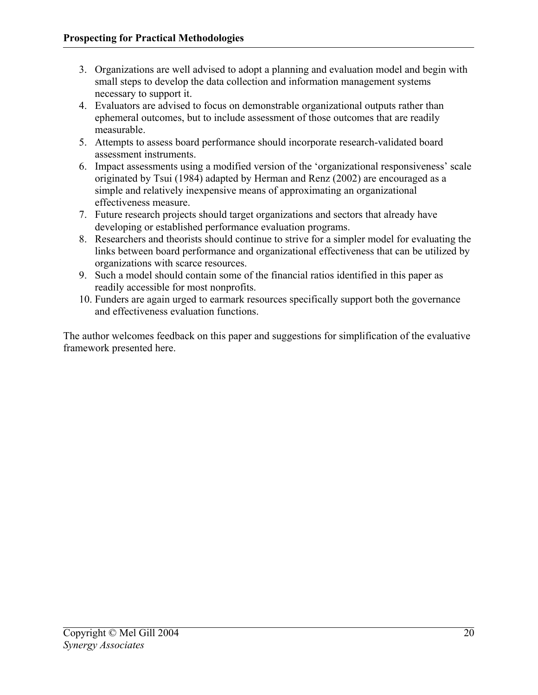- 3. Organizations are well advised to adopt a planning and evaluation model and begin with small steps to develop the data collection and information management systems necessary to support it.
- 4. Evaluators are advised to focus on demonstrable organizational outputs rather than ephemeral outcomes, but to include assessment of those outcomes that are readily measurable.
- 5. Attempts to assess board performance should incorporate research-validated board assessment instruments.
- 6. Impact assessments using a modified version of the 'organizational responsiveness' scale originated by Tsui (1984) adapted by Herman and Renz (2002) are encouraged as a simple and relatively inexpensive means of approximating an organizational effectiveness measure.
- 7. Future research projects should target organizations and sectors that already have developing or established performance evaluation programs.
- 8. Researchers and theorists should continue to strive for a simpler model for evaluating the links between board performance and organizational effectiveness that can be utilized by organizations with scarce resources.
- 9. Such a model should contain some of the financial ratios identified in this paper as readily accessible for most nonprofits.
- 10. Funders are again urged to earmark resources specifically support both the governance and effectiveness evaluation functions.

The author welcomes feedback on this paper and suggestions for simplification of the evaluative framework presented here.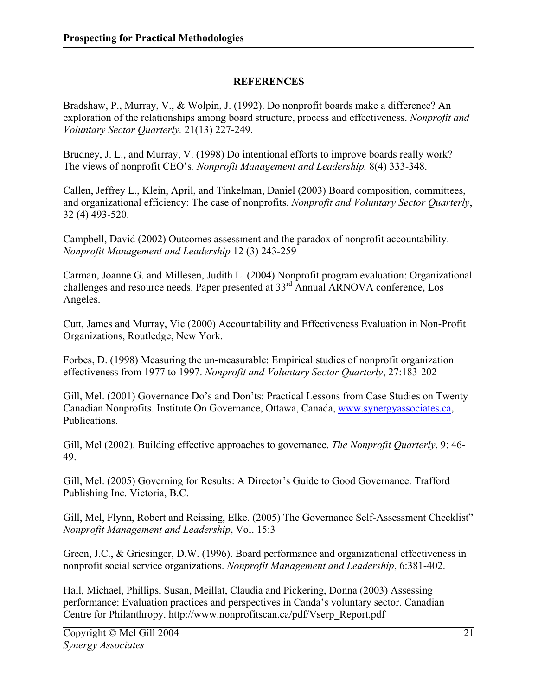## **REFERENCES**

Bradshaw, P., Murray, V., & Wolpin, J. (1992). Do nonprofit boards make a difference? An exploration of the relationships among board structure, process and effectiveness. *Nonprofit and Voluntary Sector Quarterly.* 21(13) 227-249.

Brudney, J. L., and Murray, V. (1998) Do intentional efforts to improve boards really work? The views of nonprofit CEO's*. Nonprofit Management and Leadership.* 8(4) 333-348.

Callen, Jeffrey L., Klein, April, and Tinkelman, Daniel (2003) Board composition, committees, and organizational efficiency: The case of nonprofits. *Nonprofit and Voluntary Sector Quarterly*, 32 (4) 493-520.

Campbell, David (2002) Outcomes assessment and the paradox of nonprofit accountability. *Nonprofit Management and Leadership* 12 (3) 243-259

Carman, Joanne G. and Millesen, Judith L. (2004) Nonprofit program evaluation: Organizational challenges and resource needs. Paper presented at 33rd Annual ARNOVA conference, Los Angeles.

Cutt, James and Murray, Vic (2000) Accountability and Effectiveness Evaluation in Non-Profit Organizations, Routledge, New York.

Forbes, D. (1998) Measuring the un-measurable: Empirical studies of nonprofit organization effectiveness from 1977 to 1997. *Nonprofit and Voluntary Sector Quarterly*, 27:183-202

Gill, Mel. (2001) Governance Do's and Don'ts: Practical Lessons from Case Studies on Twenty Canadian Nonprofits. Institute On Governance, Ottawa, Canada, www.synergyassociates.ca, Publications.

Gill, Mel (2002). Building effective approaches to governance. *The Nonprofit Quarterly*, 9: 46- 49.

Gill, Mel. (2005) Governing for Results: A Director's Guide to Good Governance. Trafford Publishing Inc. Victoria, B.C.

Gill, Mel, Flynn, Robert and Reissing, Elke. (2005) The Governance Self-Assessment Checklist" *Nonprofit Management and Leadership*, Vol. 15:3

Green, J.C., & Griesinger, D.W. (1996). Board performance and organizational effectiveness in nonprofit social service organizations. *Nonprofit Management and Leadership*, 6:381-402.

Hall, Michael, Phillips, Susan, Meillat, Claudia and Pickering, Donna (2003) Assessing performance: Evaluation practices and perspectives in Canda's voluntary sector. Canadian Centre for Philanthropy. http://www.nonprofitscan.ca/pdf/Vserp\_Report.pdf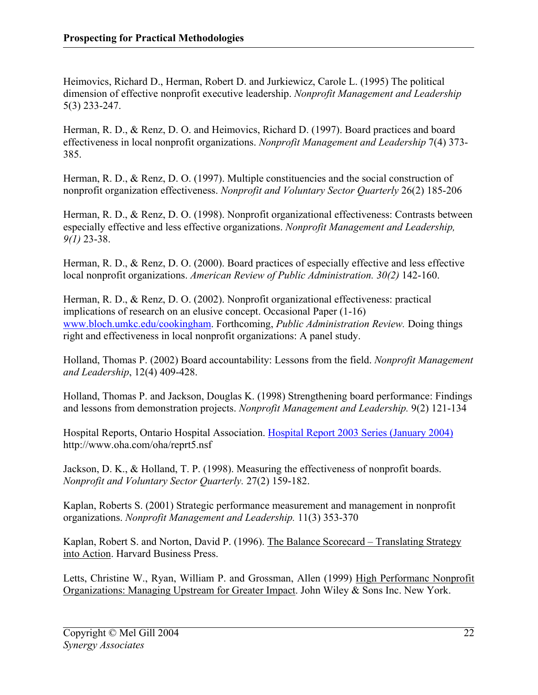Heimovics, Richard D., Herman, Robert D. and Jurkiewicz, Carole L. (1995) The political dimension of effective nonprofit executive leadership. *Nonprofit Management and Leadership*  5(3) 233-247.

Herman, R. D., & Renz, D. O. and Heimovics, Richard D. (1997). Board practices and board effectiveness in local nonprofit organizations. *Nonprofit Management and Leadership* 7(4) 373- 385.

Herman, R. D., & Renz, D. O. (1997). Multiple constituencies and the social construction of nonprofit organization effectiveness. *Nonprofit and Voluntary Sector Quarterly* 26(2) 185-206

Herman, R. D., & Renz, D. O. (1998). Nonprofit organizational effectiveness: Contrasts between especially effective and less effective organizations. *Nonprofit Management and Leadership, 9(1)* 23-38.

Herman, R. D., & Renz, D. O. (2000). Board practices of especially effective and less effective local nonprofit organizations. *American Review of Public Administration. 30(2)* 142-160.

Herman, R. D., & Renz, D. O. (2002). Nonprofit organizational effectiveness: practical implications of research on an elusive concept. Occasional Paper (1-16) www.bloch.umkc.edu/cookingham. Forthcoming, *Public Administration Review.* Doing things right and effectiveness in local nonprofit organizations: A panel study.

Holland, Thomas P. (2002) Board accountability: Lessons from the field. *Nonprofit Management and Leadership*, 12(4) 409-428.

Holland, Thomas P. and Jackson, Douglas K. (1998) Strengthening board performance: Findings and lessons from demonstration projects. *Nonprofit Management and Leadership.* 9(2) 121-134

Hospital Reports, Ontario Hospital Association. Hospital Report 2003 Series (January 2004) http://www.oha.com/oha/reprt5.nsf

Jackson, D. K., & Holland, T. P. (1998). Measuring the effectiveness of nonprofit boards. *Nonprofit and Voluntary Sector Quarterly.* 27(2) 159-182.

Kaplan, Roberts S. (2001) Strategic performance measurement and management in nonprofit organizations. *Nonprofit Management and Leadership.* 11(3) 353-370

Kaplan, Robert S. and Norton, David P. (1996). The Balance Scorecard – Translating Strategy into Action. Harvard Business Press.

Letts, Christine W., Ryan, William P. and Grossman, Allen (1999) High Performanc Nonprofit Organizations: Managing Upstream for Greater Impact. John Wiley & Sons Inc. New York.